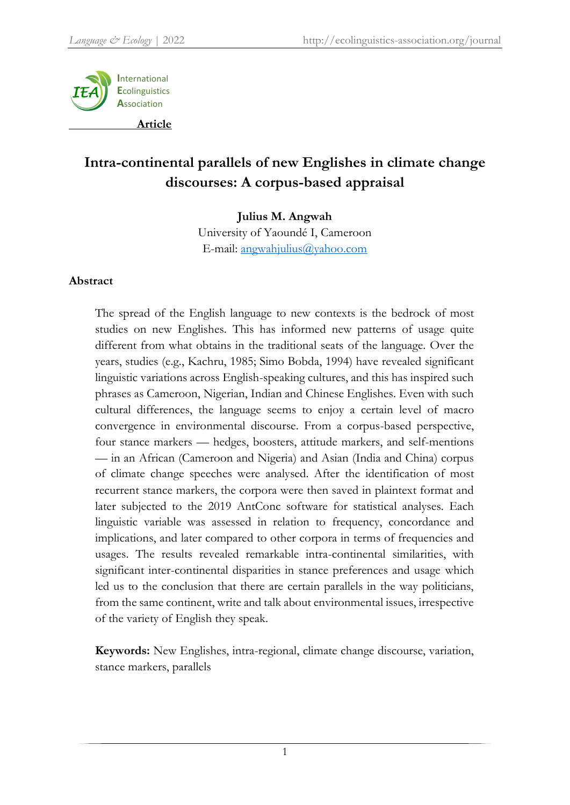

# **Intra-continental parallels of new Englishes in climate change discourses: A corpus-based appraisal**

#### **Julius M. Angwah**

University of Yaoundé I, Cameroon E-mail: [angwahjulius@yahoo.com](mailto:angwahjulius@yahoo.com)

## **Abstract**

The spread of the English language to new contexts is the bedrock of most studies on new Englishes. This has informed new patterns of usage quite different from what obtains in the traditional seats of the language. Over the years, studies (e.g., Kachru, 1985; Simo Bobda, 1994) have revealed significant linguistic variations across English-speaking cultures, and this has inspired such phrases as Cameroon, Nigerian, Indian and Chinese Englishes. Even with such cultural differences, the language seems to enjoy a certain level of macro convergence in environmental discourse. From a corpus-based perspective, four stance markers — hedges, boosters, attitude markers, and self-mentions — in an African (Cameroon and Nigeria) and Asian (India and China) corpus of climate change speeches were analysed. After the identification of most recurrent stance markers, the corpora were then saved in plaintext format and later subjected to the 2019 AntConc software for statistical analyses. Each linguistic variable was assessed in relation to frequency, concordance and implications, and later compared to other corpora in terms of frequencies and usages. The results revealed remarkable intra-continental similarities, with significant inter-continental disparities in stance preferences and usage which led us to the conclusion that there are certain parallels in the way politicians, from the same continent, write and talk about environmental issues, irrespective of the variety of English they speak.

**Keywords:** New Englishes, intra-regional, climate change discourse, variation, stance markers, parallels

1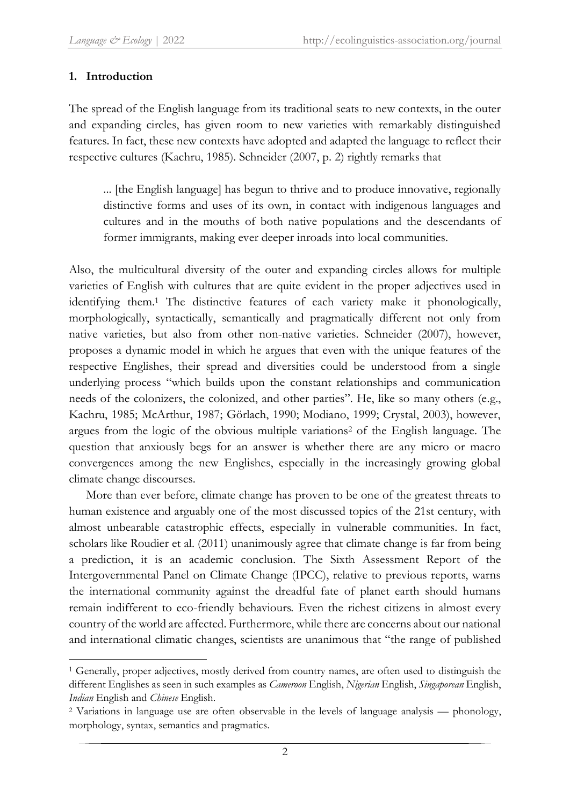## **1. Introduction**

The spread of the English language from its traditional seats to new contexts, in the outer and expanding circles, has given room to new varieties with remarkably distinguished features. In fact, these new contexts have adopted and adapted the language to reflect their respective cultures (Kachru, 1985). Schneider (2007, p. 2) rightly remarks that

... [the English language] has begun to thrive and to produce innovative, regionally distinctive forms and uses of its own, in contact with indigenous languages and cultures and in the mouths of both native populations and the descendants of former immigrants, making ever deeper inroads into local communities.

Also, the multicultural diversity of the outer and expanding circles allows for multiple varieties of English with cultures that are quite evident in the proper adjectives used in identifying them. <sup>1</sup> The distinctive features of each variety make it phonologically, morphologically, syntactically, semantically and pragmatically different not only from native varieties, but also from other non-native varieties. Schneider (2007), however, proposes a dynamic model in which he argues that even with the unique features of the respective Englishes, their spread and diversities could be understood from a single underlying process "which builds upon the constant relationships and communication needs of the colonizers, the colonized, and other parties". He, like so many others (e.g., Kachru, 1985; McArthur, 1987; Görlach, 1990; Modiano, 1999; Crystal, 2003), however, argues from the logic of the obvious multiple variations<sup>2</sup> of the English language. The question that anxiously begs for an answer is whether there are any micro or macro convergences among the new Englishes, especially in the increasingly growing global climate change discourses.

More than ever before, climate change has proven to be one of the greatest threats to human existence and arguably one of the most discussed topics of the 21st century, with almost unbearable catastrophic effects, especially in vulnerable communities. In fact, scholars like Roudier et al. (2011) unanimously agree that climate change is far from being a prediction, it is an academic conclusion. The Sixth Assessment Report of the Intergovernmental Panel on Climate Change (IPCC), relative to previous reports, warns the international community against the dreadful fate of planet earth should humans remain indifferent to eco-friendly behaviours. Even the richest citizens in almost every country of the world are affected. Furthermore, while there are concerns about our national and international climatic changes, scientists are unanimous that "the range of published

**<sup>.</sup>** <sup>1</sup> Generally, proper adjectives, mostly derived from country names, are often used to distinguish the different Englishes as seen in such examples as *Cameroon* English, *Nigerian* English, *Singaporean* English, *Indian* English and *Chinese* English.

<sup>2</sup> Variations in language use are often observable in the levels of language analysis — phonology, morphology, syntax, semantics and pragmatics.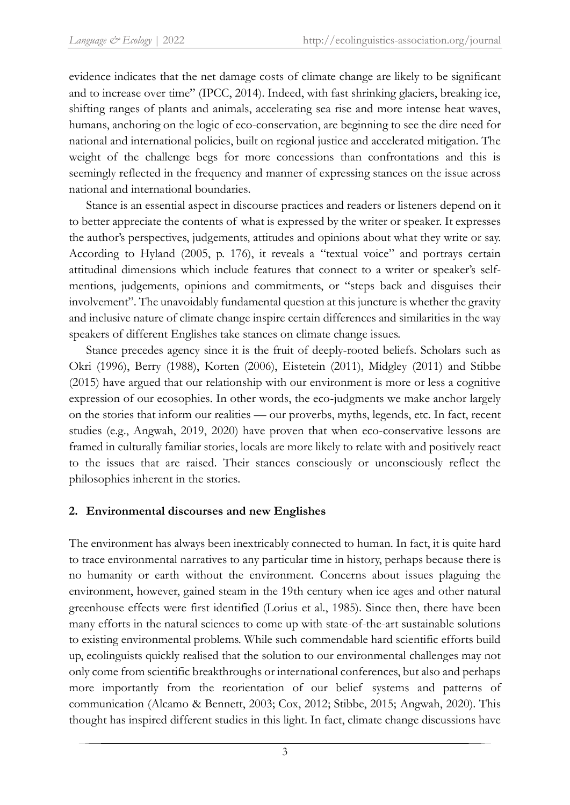evidence indicates that the net damage costs of climate change are likely to be significant and to increase over time" (IPCC, 2014). Indeed, with fast shrinking glaciers, breaking ice, shifting ranges of plants and animals, accelerating sea rise and more intense heat waves, humans, anchoring on the logic of eco-conservation, are beginning to see the dire need for national and international policies, built on regional justice and accelerated mitigation. The weight of the challenge begs for more concessions than confrontations and this is seemingly reflected in the frequency and manner of expressing stances on the issue across national and international boundaries.

Stance is an essential aspect in discourse practices and readers or listeners depend on it to better appreciate the contents of what is expressed by the writer or speaker. It expresses the author's perspectives, judgements, attitudes and opinions about what they write or say. According to Hyland (2005, p. 176), it reveals a "textual voice" and portrays certain attitudinal dimensions which include features that connect to a writer or speaker's selfmentions, judgements, opinions and commitments, or "steps back and disguises their involvement". The unavoidably fundamental question at this juncture is whether the gravity and inclusive nature of climate change inspire certain differences and similarities in the way speakers of different Englishes take stances on climate change issues.

Stance precedes agency since it is the fruit of deeply-rooted beliefs. Scholars such as Okri (1996), Berry (1988), Korten (2006), Eistetein (2011), Midgley (2011) and Stibbe (2015) have argued that our relationship with our environment is more or less a cognitive expression of our ecosophies. In other words, the eco-judgments we make anchor largely on the stories that inform our realities — our proverbs, myths, legends, etc. In fact, recent studies (e.g., Angwah, 2019, 2020) have proven that when eco-conservative lessons are framed in culturally familiar stories, locals are more likely to relate with and positively react to the issues that are raised. Their stances consciously or unconsciously reflect the philosophies inherent in the stories.

## **2. Environmental discourses and new Englishes**

The environment has always been inextricably connected to human. In fact, it is quite hard to trace environmental narratives to any particular time in history, perhaps because there is no humanity or earth without the environment. Concerns about issues plaguing the environment, however, gained steam in the 19th century when ice ages and other natural greenhouse effects were first identified (Lorius et al., 1985). Since then, there have been many efforts in the natural sciences to come up with state-of-the-art sustainable solutions to existing environmental problems. While such commendable hard scientific efforts build up, ecolinguists quickly realised that the solution to our environmental challenges may not only come from scientific breakthroughs or international conferences, but also and perhaps more importantly from the reorientation of our belief systems and patterns of communication (Alcamo & Bennett, 2003; Cox, 2012; Stibbe, 2015; Angwah, 2020). This thought has inspired different studies in this light. In fact, climate change discussions have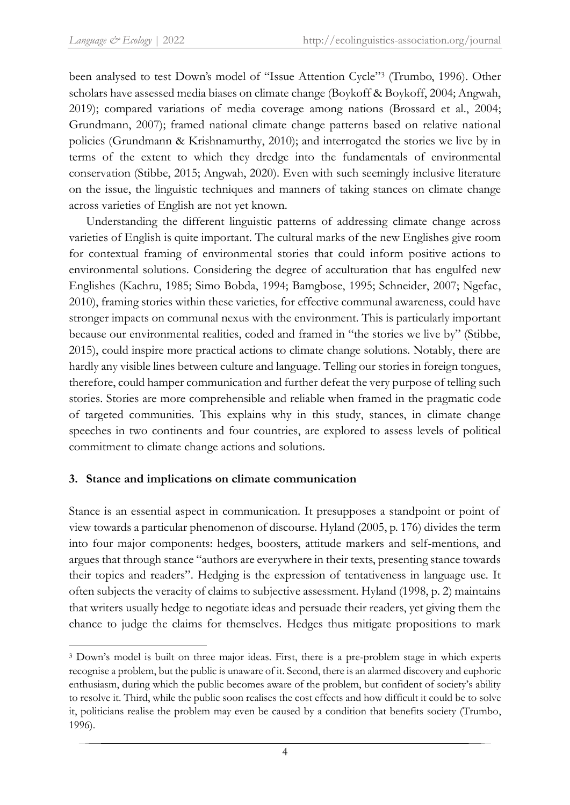been analysed to test Down's model of "Issue Attention Cycle" 3 (Trumbo, 1996). Other scholars have assessed media biases on climate change (Boykoff & Boykoff, 2004; Angwah, 2019); compared variations of media coverage among nations (Brossard et al., 2004; Grundmann, 2007); framed national climate change patterns based on relative national policies (Grundmann & Krishnamurthy, 2010); and interrogated the stories we live by in terms of the extent to which they dredge into the fundamentals of environmental conservation (Stibbe, 2015; Angwah, 2020). Even with such seemingly inclusive literature on the issue, the linguistic techniques and manners of taking stances on climate change across varieties of English are not yet known.

Understanding the different linguistic patterns of addressing climate change across varieties of English is quite important. The cultural marks of the new Englishes give room for contextual framing of environmental stories that could inform positive actions to environmental solutions. Considering the degree of acculturation that has engulfed new Englishes (Kachru, 1985; Simo Bobda, 1994; Bamgbose, 1995; Schneider, 2007; Ngefac, 2010), framing stories within these varieties, for effective communal awareness, could have stronger impacts on communal nexus with the environment. This is particularly important because our environmental realities, coded and framed in "the stories we live by" (Stibbe, 2015), could inspire more practical actions to climate change solutions. Notably, there are hardly any visible lines between culture and language. Telling our stories in foreign tongues, therefore, could hamper communication and further defeat the very purpose of telling such stories. Stories are more comprehensible and reliable when framed in the pragmatic code of targeted communities. This explains why in this study, stances, in climate change speeches in two continents and four countries, are explored to assess levels of political commitment to climate change actions and solutions.

## **3. Stance and implications on climate communication**

Stance is an essential aspect in communication. It presupposes a standpoint or point of view towards a particular phenomenon of discourse. Hyland (2005, p. 176) divides the term into four major components: hedges, boosters, attitude markers and self-mentions, and argues that through stance "authors are everywhere in their texts, presenting stance towards their topics and readers". Hedging is the expression of tentativeness in language use. It often subjects the veracity of claims to subjective assessment. Hyland (1998, p. 2) maintains that writers usually hedge to negotiate ideas and persuade their readers, yet giving them the chance to judge the claims for themselves. Hedges thus mitigate propositions to mark

 $\overline{a}$ <sup>3</sup> Down's model is built on three major ideas. First, there is a pre-problem stage in which experts recognise a problem, but the public is unaware of it. Second, there is an alarmed discovery and euphoric enthusiasm, during which the public becomes aware of the problem, but confident of society's ability to resolve it. Third, while the public soon realises the cost effects and how difficult it could be to solve it, politicians realise the problem may even be caused by a condition that benefits society (Trumbo, 1996).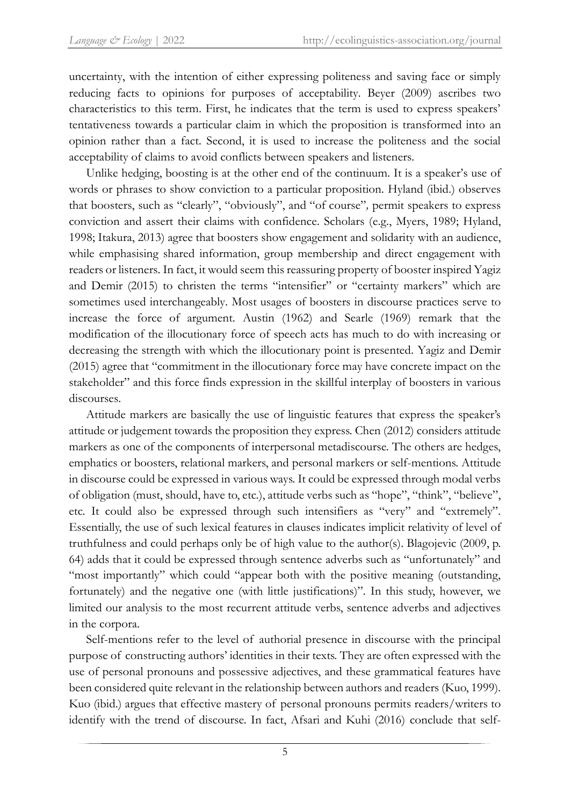uncertainty, with the intention of either expressing politeness and saving face or simply reducing facts to opinions for purposes of acceptability. Beyer (2009) ascribes two characteristics to this term. First, he indicates that the term is used to express speakers' tentativeness towards a particular claim in which the proposition is transformed into an opinion rather than a fact. Second, it is used to increase the politeness and the social acceptability of claims to avoid conflicts between speakers and listeners.

Unlike hedging, boosting is at the other end of the continuum. It is a speaker's use of words or phrases to show conviction to a particular proposition. Hyland (ibid.) observes that boosters, such as "clearly", "obviously", and "of course"*,* permit speakers to express conviction and assert their claims with confidence. Scholars (e.g., Myers, 1989; Hyland, 1998; Itakura, 2013) agree that boosters show engagement and solidarity with an audience, while emphasising shared information, group membership and direct engagement with readers or listeners. In fact, it would seem this reassuring property of booster inspired Yagiz and Demir (2015) to christen the terms "intensifier" or "certainty markers" which are sometimes used interchangeably. Most usages of boosters in discourse practices serve to increase the force of argument. Austin (1962) and Searle (1969) remark that the modification of the illocutionary force of speech acts has much to do with increasing or decreasing the strength with which the illocutionary point is presented. Yagiz and Demir (2015) agree that "commitment in the illocutionary force may have concrete impact on the stakeholder" and this force finds expression in the skillful interplay of boosters in various discourses.

Attitude markers are basically the use of linguistic features that express the speaker's attitude or judgement towards the proposition they express. Chen (2012) considers attitude markers as one of the components of interpersonal metadiscourse. The others are hedges, emphatics or boosters, relational markers, and personal markers or self-mentions. Attitude in discourse could be expressed in various ways. It could be expressed through modal verbs of obligation (must, should, have to, etc.), attitude verbs such as "hope", "think", "believe", etc. It could also be expressed through such intensifiers as "very" and "extremely". Essentially, the use of such lexical features in clauses indicates implicit relativity of level of truthfulness and could perhaps only be of high value to the author(s). Blagojevic (2009, p. 64) adds that it could be expressed through sentence adverbs such as "unfortunately" and "most importantly" which could "appear both with the positive meaning (outstanding, fortunately) and the negative one (with little justifications)". In this study, however, we limited our analysis to the most recurrent attitude verbs, sentence adverbs and adjectives in the corpora.

Self-mentions refer to the level of authorial presence in discourse with the principal purpose of constructing authors' identities in their texts. They are often expressed with the use of personal pronouns and possessive adjectives, and these grammatical features have been considered quite relevant in the relationship between authors and readers (Kuo, 1999). Kuo (ibid.) argues that effective mastery of personal pronouns permits readers/writers to identify with the trend of discourse. In fact, Afsari and Kuhi (2016) conclude that self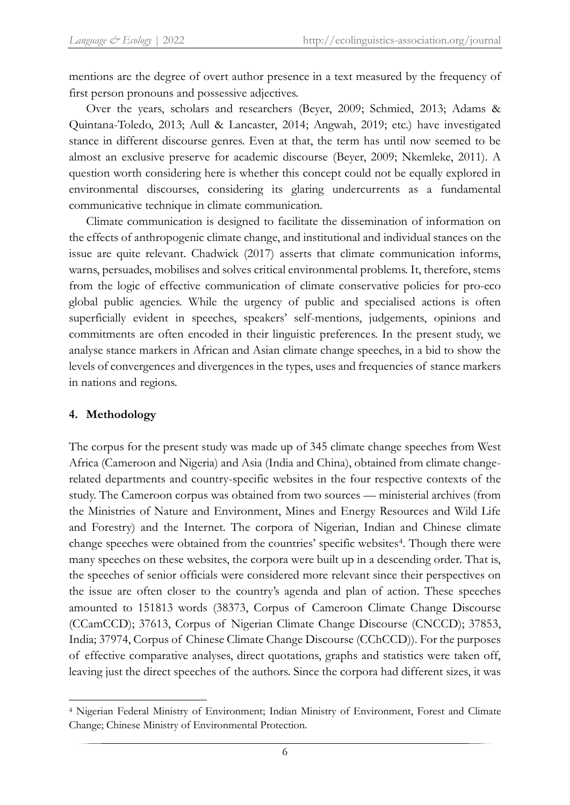mentions are the degree of overt author presence in a text measured by the frequency of first person pronouns and possessive adjectives.

Over the years, scholars and researchers (Beyer, 2009; Schmied, 2013; Adams & Quintana-Toledo, 2013; Aull & Lancaster, 2014; Angwah, 2019; etc.) have investigated stance in different discourse genres. Even at that, the term has until now seemed to be almost an exclusive preserve for academic discourse (Beyer, 2009; Nkemleke, 2011). A question worth considering here is whether this concept could not be equally explored in environmental discourses, considering its glaring undercurrents as a fundamental communicative technique in climate communication.

Climate communication is designed to facilitate the dissemination of information on the effects of anthropogenic climate change, and institutional and individual stances on the issue are quite relevant. Chadwick (2017) asserts that climate communication informs, warns, persuades, mobilises and solves critical environmental problems. It, therefore, stems from the logic of effective communication of climate conservative policies for pro-eco global public agencies. While the urgency of public and specialised actions is often superficially evident in speeches, speakers' self-mentions, judgements, opinions and commitments are often encoded in their linguistic preferences. In the present study, we analyse stance markers in African and Asian climate change speeches, in a bid to show the levels of convergences and divergences in the types, uses and frequencies of stance markers in nations and regions.

## **4. Methodology**

1

The corpus for the present study was made up of 345 climate change speeches from West Africa (Cameroon and Nigeria) and Asia (India and China), obtained from climate changerelated departments and country-specific websites in the four respective contexts of the study. The Cameroon corpus was obtained from two sources — ministerial archives (from the Ministries of Nature and Environment, Mines and Energy Resources and Wild Life and Forestry) and the Internet. The corpora of Nigerian, Indian and Chinese climate change speeches were obtained from the countries' specific websites<sup>4</sup>. Though there were many speeches on these websites, the corpora were built up in a descending order. That is, the speeches of senior officials were considered more relevant since their perspectives on the issue are often closer to the country's agenda and plan of action. These speeches amounted to 151813 words (38373, Corpus of Cameroon Climate Change Discourse (CCamCCD); 37613, Corpus of Nigerian Climate Change Discourse (CNCCD); 37853, India; 37974, Corpus of Chinese Climate Change Discourse (CChCCD)). For the purposes of effective comparative analyses, direct quotations, graphs and statistics were taken off, leaving just the direct speeches of the authors. Since the corpora had different sizes, it was

<sup>4</sup> Nigerian Federal Ministry of Environment; Indian Ministry of Environment, Forest and Climate Change; Chinese Ministry of Environmental Protection.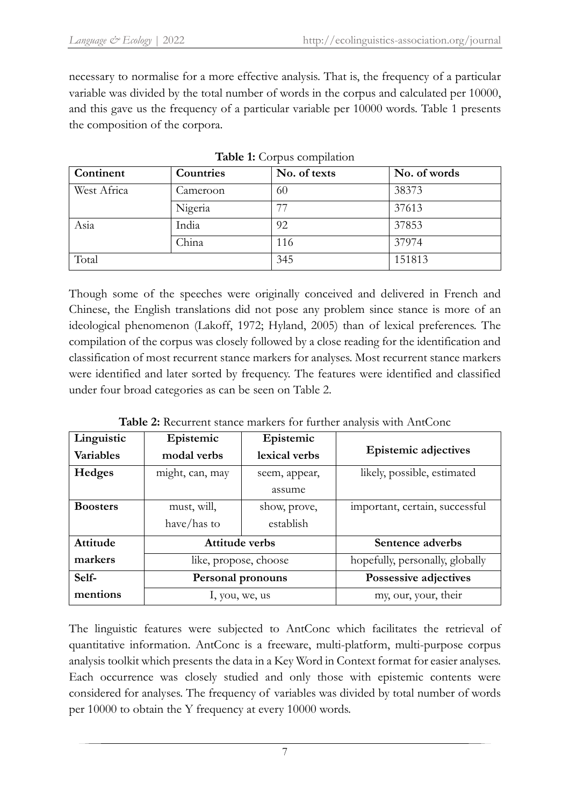necessary to normalise for a more effective analysis. That is, the frequency of a particular variable was divided by the total number of words in the corpus and calculated per 10000, and this gave us the frequency of a particular variable per 10000 words. Table 1 presents the composition of the corpora.

| Continent   | Countries | No. of texts | No. of words |
|-------------|-----------|--------------|--------------|
| West Africa | Cameroon  | 60           | 38373        |
|             | Nigeria   | −−           | 37613        |
| Asia        | India     | 92           | 37853        |
|             | China     | 116          | 37974        |
| Total       |           | 345          | 151813       |

|  | Table 1: Corpus compilation |
|--|-----------------------------|
|  |                             |

Though some of the speeches were originally conceived and delivered in French and Chinese, the English translations did not pose any problem since stance is more of an ideological phenomenon (Lakoff, 1972; Hyland, 2005) than of lexical preferences. The compilation of the corpus was closely followed by a close reading for the identification and classification of most recurrent stance markers for analyses. Most recurrent stance markers were identified and later sorted by frequency. The features were identified and classified under four broad categories as can be seen on Table 2.

| Linguistic       | Epistemic                | Epistemic     |                                 |
|------------------|--------------------------|---------------|---------------------------------|
| <b>Variables</b> | modal verbs              | lexical verbs | <b>Epistemic adjectives</b>     |
| <b>Hedges</b>    | might, can, may          | seem, appear, | likely, possible, estimated     |
|                  |                          | assume        |                                 |
| <b>Boosters</b>  | must, will,              | show, prove,  | important, certain, successful  |
|                  | have/has to              | establish     |                                 |
| <b>Attitude</b>  | <b>Attitude verbs</b>    |               | Sentence adverbs                |
| markers          | like, propose, choose    |               | hopefully, personally, globally |
| Self-            | <b>Personal pronouns</b> |               | Possessive adjectives           |
| mentions         | 1, you, we, us           |               | my, our, your, their            |

**Table 2:** Recurrent stance markers for further analysis with AntConc

The linguistic features were subjected to AntConc which facilitates the retrieval of quantitative information. AntConc is a freeware, multi-platform, multi-purpose corpus analysis toolkit which presents the data in a Key Word in Context format for easier analyses. Each occurrence was closely studied and only those with epistemic contents were considered for analyses. The frequency of variables was divided by total number of words per 10000 to obtain the Y frequency at every 10000 words.

7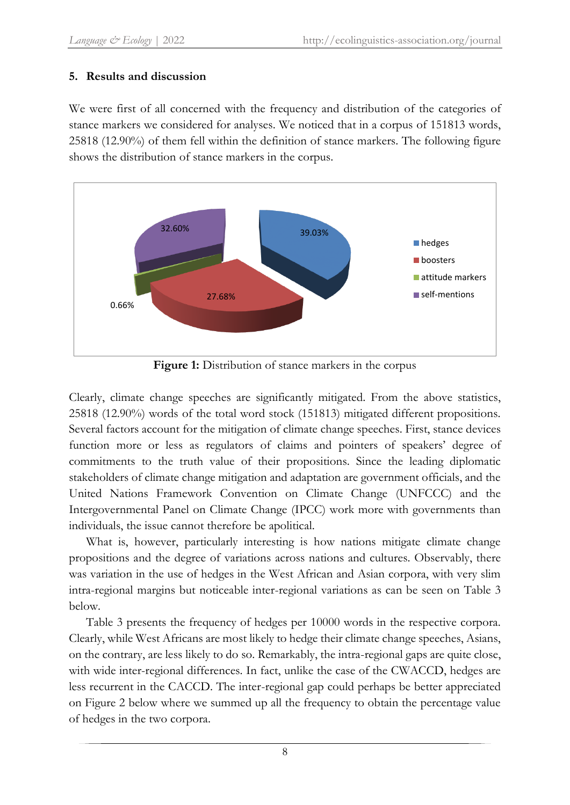## **5. Results and discussion**

We were first of all concerned with the frequency and distribution of the categories of stance markers we considered for analyses. We noticed that in a corpus of 151813 words, 25818 (12.90%) of them fell within the definition of stance markers. The following figure shows the distribution of stance markers in the corpus.



Figure 1: Distribution of stance markers in the corpus

Clearly, climate change speeches are significantly mitigated. From the above statistics, 25818 (12.90%) words of the total word stock (151813) mitigated different propositions. Several factors account for the mitigation of climate change speeches. First, stance devices function more or less as regulators of claims and pointers of speakers' degree of commitments to the truth value of their propositions. Since the leading diplomatic stakeholders of climate change mitigation and adaptation are government officials, and the United Nations Framework Convention on Climate Change (UNFCCC) and the Intergovernmental Panel on Climate Change (IPCC) work more with governments than individuals, the issue cannot therefore be apolitical.

What is, however, particularly interesting is how nations mitigate climate change propositions and the degree of variations across nations and cultures. Observably, there was variation in the use of hedges in the West African and Asian corpora, with very slim intra-regional margins but noticeable inter-regional variations as can be seen on Table 3 below.

Table 3 presents the frequency of hedges per 10000 words in the respective corpora. Clearly, while West Africans are most likely to hedge their climate change speeches, Asians, on the contrary, are less likely to do so. Remarkably, the intra-regional gaps are quite close, with wide inter-regional differences. In fact, unlike the case of the CWACCD, hedges are less recurrent in the CACCD. The inter-regional gap could perhaps be better appreciated on Figure 2 below where we summed up all the frequency to obtain the percentage value of hedges in the two corpora.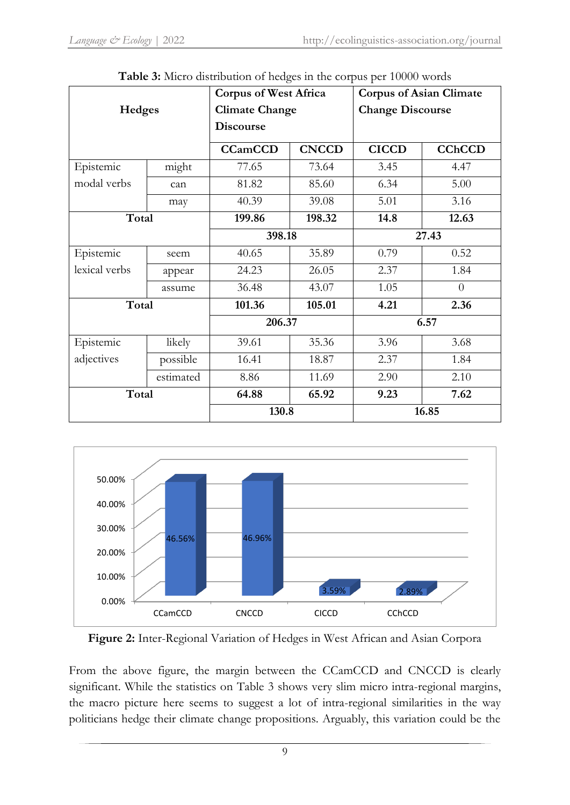|               | 010 and 110 and 01 mongoo in the corp was per 10000 more | <b>Corpus of West Africa</b> |              | <b>Corpus of Asian Climate</b> |                |
|---------------|----------------------------------------------------------|------------------------------|--------------|--------------------------------|----------------|
| Hedges        |                                                          | <b>Climate Change</b>        |              | <b>Change Discourse</b>        |                |
|               |                                                          | <b>Discourse</b>             |              |                                |                |
|               |                                                          | <b>CCamCCD</b>               | <b>CNCCD</b> | <b>CICCD</b>                   | <b>CChCCD</b>  |
| Epistemic     | might                                                    | 77.65                        | 73.64        | 3.45                           | 4.47           |
| modal verbs   | can                                                      | 81.82                        | 85.60        | 6.34                           | 5.00           |
|               | may                                                      | 40.39                        | 39.08        | 5.01                           | 3.16           |
| Total         |                                                          | 199.86                       | 198.32       | 14.8                           | 12.63          |
|               |                                                          | 398.18                       |              | 27.43                          |                |
| Epistemic     | seem                                                     | 40.65<br>35.89               |              | 0.79                           | 0.52           |
| lexical verbs | appear                                                   | 24.23                        | 26.05        | 2.37                           | 1.84           |
|               | assume                                                   | 36.48                        | 43.07        | 1.05                           | $\overline{0}$ |
| Total         |                                                          | 101.36                       | 105.01       | 4.21                           | 2.36           |
|               |                                                          | 206.37                       |              | 6.57                           |                |
| Epistemic     | likely                                                   | 39.61                        | 35.36        | 3.96                           | 3.68           |
| adjectives    | possible                                                 | 16.41                        | 18.87        | 2.37                           | 1.84           |
|               | estimated                                                | 8.86                         | 11.69        | 2.90                           | 2.10           |
| Total         |                                                          | 64.88                        | 65.92        | 9.23                           | 7.62           |
|               |                                                          | 130.8                        |              | 16.85                          |                |

|  | Table 3: Micro distribution of hedges in the corpus per 10000 words |  |  |  |  |
|--|---------------------------------------------------------------------|--|--|--|--|
|--|---------------------------------------------------------------------|--|--|--|--|



**Figure 2:** Inter-Regional Variation of Hedges in West African and Asian Corpora

From the above figure, the margin between the CCamCCD and CNCCD is clearly significant. While the statistics on Table 3 shows very slim micro intra-regional margins, the macro picture here seems to suggest a lot of intra-regional similarities in the way politicians hedge their climate change propositions. Arguably, this variation could be the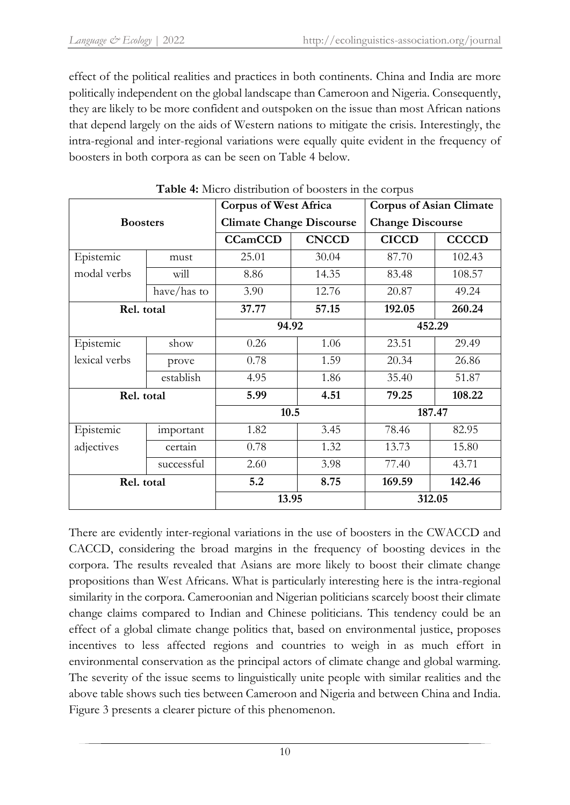effect of the political realities and practices in both continents. China and India are more politically independent on the global landscape than Cameroon and Nigeria. Consequently, they are likely to be more confident and outspoken on the issue than most African nations that depend largely on the aids of Western nations to mitigate the crisis. Interestingly, the intra-regional and inter-regional variations were equally quite evident in the frequency of boosters in both corpora as can be seen on Table 4 below.

|                 |             | <b>Corpus of West Africa</b>    |              | <b>Corpus of Asian Climate</b> |              |
|-----------------|-------------|---------------------------------|--------------|--------------------------------|--------------|
| <b>Boosters</b> |             | <b>Climate Change Discourse</b> |              | <b>Change Discourse</b>        |              |
|                 |             | <b>CCamCCD</b>                  | <b>CNCCD</b> | <b>CICCD</b>                   | <b>CCCCD</b> |
| Epistemic       | must        | 25.01                           | 30.04        | 87.70                          | 102.43       |
| modal verbs     | will        | 8.86                            | 14.35        | 83.48                          | 108.57       |
|                 | have/has to | 3.90                            | 12.76        | 20.87                          | 49.24        |
| Rel. total      |             | 37.77                           | 57.15        | 192.05                         | 260.24       |
|                 |             | 94.92                           |              | 452.29                         |              |
| Epistemic       | show        | 0.26                            | 1.06         | 23.51                          | 29.49        |
| lexical verbs   | prove       | 0.78                            | 1.59         | 20.34                          | 26.86        |
|                 | establish   | 4.95                            | 1.86         | 35.40                          | 51.87        |
| Rel. total      |             | 5.99                            | 4.51         | 79.25                          | 108.22       |
|                 |             | 10.5                            |              | 187.47                         |              |
| Epistemic       | important   | 1.82                            | 3.45         | 78.46                          | 82.95        |
| adjectives      | certain     | 0.78                            | 1.32         | 13.73                          | 15.80        |
|                 | successful  | 2.60                            | 3.98         | 77.40                          | 43.71        |
| Rel. total      |             | 5.2                             | 8.75         | 169.59                         | 142.46       |
|                 |             | 13.95                           |              |                                | 312.05       |

**Table 4:** Micro distribution of boosters in the corpus

There are evidently inter-regional variations in the use of boosters in the CWACCD and CACCD, considering the broad margins in the frequency of boosting devices in the corpora. The results revealed that Asians are more likely to boost their climate change propositions than West Africans. What is particularly interesting here is the intra-regional similarity in the corpora. Cameroonian and Nigerian politicians scarcely boost their climate change claims compared to Indian and Chinese politicians. This tendency could be an effect of a global climate change politics that, based on environmental justice, proposes incentives to less affected regions and countries to weigh in as much effort in environmental conservation as the principal actors of climate change and global warming. The severity of the issue seems to linguistically unite people with similar realities and the above table shows such ties between Cameroon and Nigeria and between China and India. Figure 3 presents a clearer picture of this phenomenon.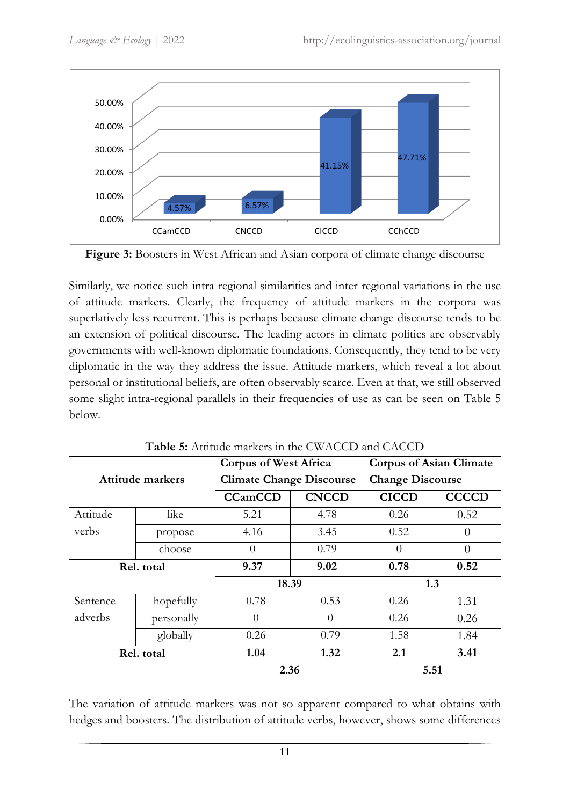



Similarly, we notice such intra-regional similarities and inter-regional variations in the use of attitude markers. Clearly, the frequency of attitude markers in the corpora was superlatively less recurrent. This is perhaps because climate change discourse tends to be an extension of political discourse. The leading actors in climate politics are observably governments with well-known diplomatic foundations. Consequently, they tend to be very diplomatic in the way they address the issue. Attitude markers, which reveal a lot about personal or institutional beliefs, are often observably scarce. Even at that, we still observed some slight intra-regional parallels in their frequencies of use as can be seen on Table 5 below.

| Attitude markers |            | <b>Corpus of West Africa</b>    |                  | <b>Corpus of Asian Climate</b> |              |
|------------------|------------|---------------------------------|------------------|--------------------------------|--------------|
|                  |            | <b>Climate Change Discourse</b> |                  | <b>Change Discourse</b>        |              |
|                  |            | <b>CCamCCD</b>                  | <b>CNCCD</b>     | <b>CICCD</b>                   | <b>CCCCD</b> |
| Attitude         | like       | 5.21                            | 4.78             | 0.26                           | 0.52         |
| verbs            | propose    | 4.16                            | 3.45             | 0.52                           | 0            |
|                  | choose     | $\theta$                        | 0.79             | $\theta$                       | 0            |
| Rel. total       |            | 9.37                            | 9.02             | 0.78                           | 0.52         |
|                  |            | 18.39                           |                  | 1.3                            |              |
| Sentence         | hopefully  | 0.78                            | 0.53             | 0.26                           | 1.31         |
| adverbs          | personally | $\theta$                        | $\left( \right)$ | 0.26                           | 0.26         |
|                  | globally   | 0.26                            | 0.79             | 1.58                           | 1.84         |
| Rel. total       |            | 1.04                            | 1.32             | 2.1                            | 3.41         |
|                  |            | 2.36                            |                  | 5.51                           |              |

**Table 5:** Attitude markers in the CWACCD and CACCD

The variation of attitude markers was not so apparent compared to what obtains with hedges and boosters. The distribution of attitude verbs, however, shows some differences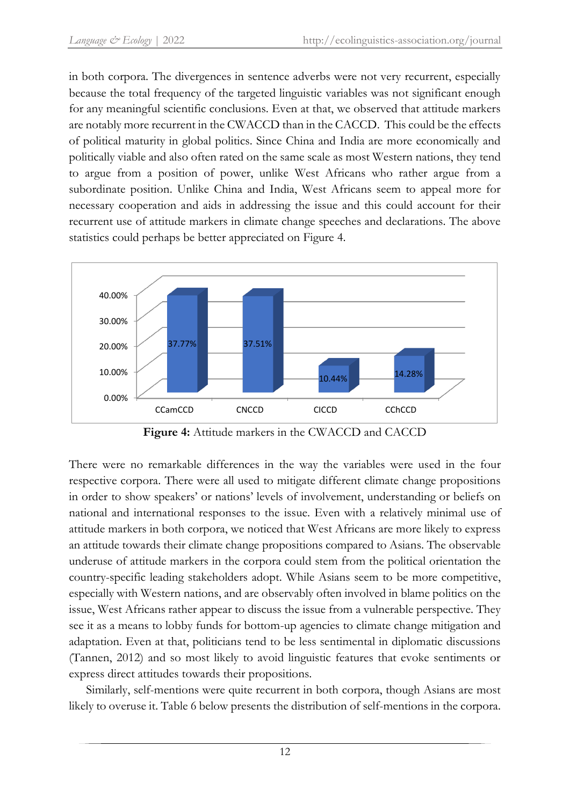in both corpora. The divergences in sentence adverbs were not very recurrent, especially because the total frequency of the targeted linguistic variables was not significant enough for any meaningful scientific conclusions. Even at that, we observed that attitude markers are notably more recurrent in the CWACCD than in the CACCD. This could be the effects of political maturity in global politics. Since China and India are more economically and politically viable and also often rated on the same scale as most Western nations, they tend to argue from a position of power, unlike West Africans who rather argue from a subordinate position. Unlike China and India, West Africans seem to appeal more for necessary cooperation and aids in addressing the issue and this could account for their recurrent use of attitude markers in climate change speeches and declarations. The above statistics could perhaps be better appreciated on Figure 4.



**Figure 4:** Attitude markers in the CWACCD and CACCD

There were no remarkable differences in the way the variables were used in the four respective corpora. There were all used to mitigate different climate change propositions in order to show speakers' or nations' levels of involvement, understanding or beliefs on national and international responses to the issue. Even with a relatively minimal use of attitude markers in both corpora, we noticed that West Africans are more likely to express an attitude towards their climate change propositions compared to Asians. The observable underuse of attitude markers in the corpora could stem from the political orientation the country-specific leading stakeholders adopt. While Asians seem to be more competitive, especially with Western nations, and are observably often involved in blame politics on the issue, West Africans rather appear to discuss the issue from a vulnerable perspective. They see it as a means to lobby funds for bottom-up agencies to climate change mitigation and adaptation. Even at that, politicians tend to be less sentimental in diplomatic discussions (Tannen, 2012) and so most likely to avoid linguistic features that evoke sentiments or express direct attitudes towards their propositions.

Similarly, self-mentions were quite recurrent in both corpora, though Asians are most likely to overuse it. Table 6 below presents the distribution of self-mentions in the corpora.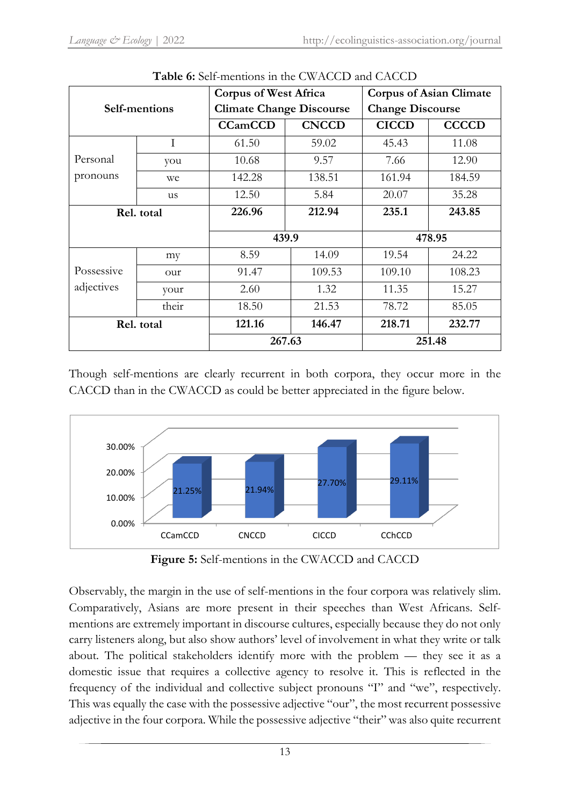| Self-mentions            |              |                | <b>Corpus of West Africa</b>    |              | <b>Corpus of Asian Climate</b> |  |
|--------------------------|--------------|----------------|---------------------------------|--------------|--------------------------------|--|
|                          |              |                | <b>Climate Change Discourse</b> |              | <b>Change Discourse</b>        |  |
|                          |              | <b>CCamCCD</b> | <b>CNCCD</b>                    | <b>CICCD</b> | <b>CCCCD</b>                   |  |
|                          | $\mathbf{I}$ | 61.50          | 59.02                           | 45.43        | 11.08                          |  |
| Personal                 | you          | 10.68          | 9.57                            | 7.66         | 12.90                          |  |
| pronouns                 | we           | 142.28         | 138.51                          | 161.94       | 184.59                         |  |
|                          | us           | 12.50          | 5.84                            | 20.07        | 35.28                          |  |
| Rel. total               |              | 226.96         | 212.94                          | 235.1        | 243.85                         |  |
|                          |              | 439.9          |                                 | 478.95       |                                |  |
|                          | my           | 8.59           | 14.09                           | 19.54        | 24.22                          |  |
| Possessive<br>adjectives | our          | 91.47          | 109.53                          | 109.10       | 108.23                         |  |
|                          | your         | 2.60           | 1.32                            | 11.35        | 15.27                          |  |
|                          | their        | 18.50          | 21.53                           | 78.72        | 85.05                          |  |
| Rel. total               |              | 121.16         | 146.47                          | 218.71       | 232.77                         |  |
|                          |              | 267.63         |                                 | 251.48       |                                |  |

**Table 6:** Self-mentions in the CWACCD and CACCD

Though self-mentions are clearly recurrent in both corpora, they occur more in the CACCD than in the CWACCD as could be better appreciated in the figure below.



**Figure 5:** Self-mentions in the CWACCD and CACCD

Observably, the margin in the use of self-mentions in the four corpora was relatively slim. Comparatively, Asians are more present in their speeches than West Africans. Selfmentions are extremely important in discourse cultures, especially because they do not only carry listeners along, but also show authors' level of involvement in what they write or talk about. The political stakeholders identify more with the problem — they see it as a domestic issue that requires a collective agency to resolve it. This is reflected in the frequency of the individual and collective subject pronouns "I" and "we", respectively. This was equally the case with the possessive adjective "our", the most recurrent possessive adjective in the four corpora. While the possessive adjective "their" was also quite recurrent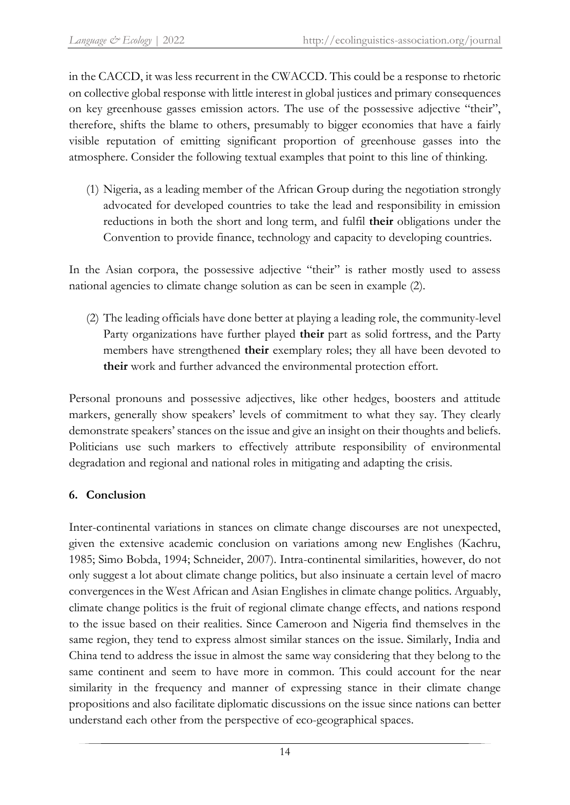in the CACCD, it was less recurrent in the CWACCD. This could be a response to rhetoric on collective global response with little interest in global justices and primary consequences on key greenhouse gasses emission actors. The use of the possessive adjective "their", therefore, shifts the blame to others, presumably to bigger economies that have a fairly visible reputation of emitting significant proportion of greenhouse gasses into the atmosphere. Consider the following textual examples that point to this line of thinking.

(1) Nigeria, as a leading member of the African Group during the negotiation strongly advocated for developed countries to take the lead and responsibility in emission reductions in both the short and long term, and fulfil **their** obligations under the Convention to provide finance, technology and capacity to developing countries.

In the Asian corpora, the possessive adjective "their" is rather mostly used to assess national agencies to climate change solution as can be seen in example (2).

(2) The leading officials have done better at playing a leading role, the community-level Party organizations have further played **their** part as solid fortress, and the Party members have strengthened **their** exemplary roles; they all have been devoted to **their** work and further advanced the environmental protection effort.

Personal pronouns and possessive adjectives, like other hedges, boosters and attitude markers, generally show speakers' levels of commitment to what they say. They clearly demonstrate speakers' stances on the issue and give an insight on their thoughts and beliefs. Politicians use such markers to effectively attribute responsibility of environmental degradation and regional and national roles in mitigating and adapting the crisis.

## **6. Conclusion**

Inter-continental variations in stances on climate change discourses are not unexpected, given the extensive academic conclusion on variations among new Englishes (Kachru, 1985; Simo Bobda, 1994; Schneider, 2007). Intra-continental similarities, however, do not only suggest a lot about climate change politics, but also insinuate a certain level of macro convergences in the West African and Asian Englishes in climate change politics. Arguably, climate change politics is the fruit of regional climate change effects, and nations respond to the issue based on their realities. Since Cameroon and Nigeria find themselves in the same region, they tend to express almost similar stances on the issue. Similarly, India and China tend to address the issue in almost the same way considering that they belong to the same continent and seem to have more in common. This could account for the near similarity in the frequency and manner of expressing stance in their climate change propositions and also facilitate diplomatic discussions on the issue since nations can better understand each other from the perspective of eco-geographical spaces.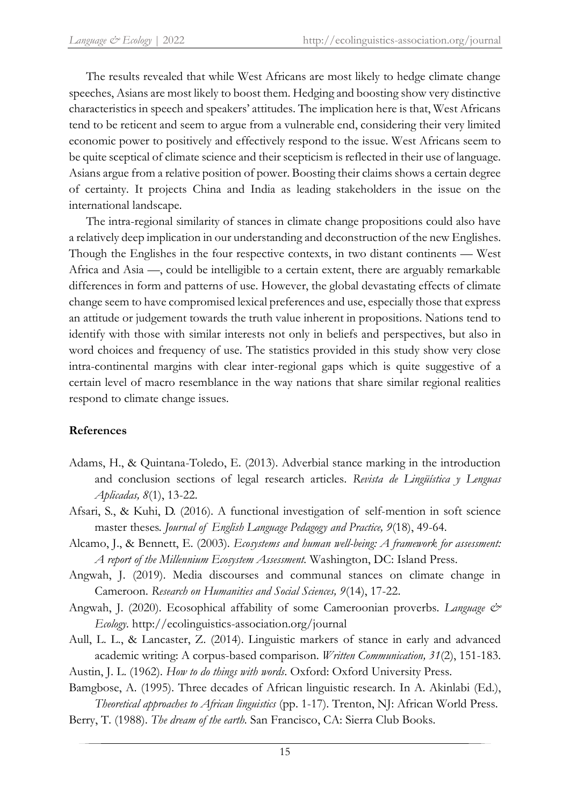The results revealed that while West Africans are most likely to hedge climate change speeches, Asians are most likely to boost them. Hedging and boosting show very distinctive characteristics in speech and speakers' attitudes. The implication here is that, West Africans tend to be reticent and seem to argue from a vulnerable end, considering their very limited economic power to positively and effectively respond to the issue. West Africans seem to be quite sceptical of climate science and their scepticism is reflected in their use of language. Asians argue from a relative position of power. Boosting their claims shows a certain degree of certainty. It projects China and India as leading stakeholders in the issue on the international landscape.

The intra-regional similarity of stances in climate change propositions could also have a relatively deep implication in our understanding and deconstruction of the new Englishes. Though the Englishes in the four respective contexts, in two distant continents — West Africa and Asia —, could be intelligible to a certain extent, there are arguably remarkable differences in form and patterns of use. However, the global devastating effects of climate change seem to have compromised lexical preferences and use, especially those that express an attitude or judgement towards the truth value inherent in propositions. Nations tend to identify with those with similar interests not only in beliefs and perspectives, but also in word choices and frequency of use. The statistics provided in this study show very close intra-continental margins with clear inter-regional gaps which is quite suggestive of a certain level of macro resemblance in the way nations that share similar regional realities respond to climate change issues.

## **References**

- Adams, H., & Quintana-Toledo, E. (2013). Adverbial stance marking in the introduction and conclusion sections of legal research articles. *Revista de Lingüística y Lenguas Aplicadas, 8*(1), 13-22.
- Afsari, S., & Kuhi, D. (2016). A functional investigation of self-mention in soft science master theses. *Journal of English Language Pedagogy and Practice, 9*(18), 49-64.
- Alcamo, J., & Bennett, E. (2003). *Ecosystems and human well-being: A framework for assessment: A report of the Millennium Ecosystem Assessment.* Washington, DC: Island Press.
- Angwah, J. (2019). Media discourses and communal stances on climate change in Cameroon. *Research on Humanities and Social Sciences, 9*(14), 17-22.
- Angwah, J. (2020). Ecosophical affability of some Cameroonian proverbs. *Language & Ecology*. http://ecolinguistics-association.org/journal
- Aull, L. L., & Lancaster, Z. (2014). Linguistic markers of stance in early and advanced academic writing: A corpus-based comparison. *Written Communication, 31*(2), 151-183.

Austin, J. L. (1962). *How to do things with words*. Oxford: Oxford University Press.

Bamgbose, A. (1995). Three decades of African linguistic research. In A. Akinlabi (Ed.), *Theoretical approaches to African linguistics* (pp. 1-17). Trenton, NJ: African World Press.

Berry, T. (1988). *The dream of the earth.* San Francisco, CA: Sierra Club Books.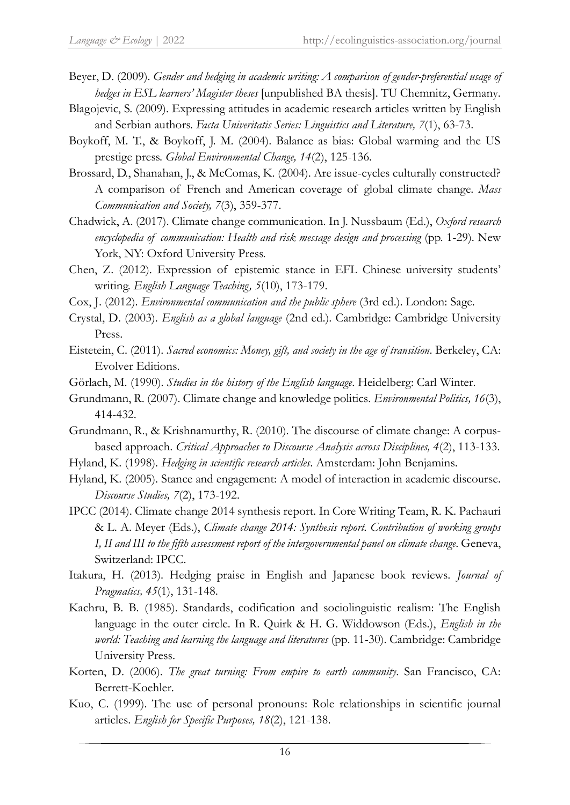- Beyer, D. (2009). *Gender and hedging in academic writing: A comparison of gender-preferential usage of hedges in ESL learners' Magister theses* [unpublished BA thesis]. TU Chemnitz, Germany.
- Blagojevic, S. (2009). Expressing attitudes in academic research articles written by English and Serbian authors. *Facta Univeritatis Series: Linguistics and Literature, 7*(1), 63-73.
- Boykoff, M. T., & Boykoff, J. M. (2004). Balance as bias: Global warming and the US prestige press. *Global Environmental Change, 14*(2), 125-136.
- Brossard, D., Shanahan, J., & McComas, K. (2004). Are issue-cycles culturally constructed? A comparison of French and American coverage of global climate change. *Mass Communication and Society, 7*(3), 359-377.
- Chadwick, A. (2017). Climate change communication. In J. Nussbaum (Ed.), *Oxford research encyclopedia of communication: Health and risk message design and processing* (pp. 1-29). New York, NY: Oxford University Press.
- Chen, Z. (2012). Expression of epistemic stance in EFL Chinese university students' writing. *English Language Teaching, 5*(10), 173-179.
- Cox, J. (2012). *Environmental communication and the public sphere* (3rd ed.). London: Sage.
- Crystal, D. (2003). *English as a global language* (2nd ed.). Cambridge: Cambridge University Press.
- Eistetein, C. (2011). *Sacred economics: Money, gift, and society in the age of transition*. Berkeley, CA: Evolver Editions.
- Görlach, M. (1990). *Studies in the history of the English language*. Heidelberg: Carl Winter.
- Grundmann, R. (2007). Climate change and knowledge politics. *Environmental Politics, 16*(3), 414-432.
- Grundmann, R., & Krishnamurthy, R. (2010). The discourse of climate change: A corpusbased approach. *Critical Approaches to Discourse Analysis across Disciplines, 4*(2), 113-133.
- Hyland, K. (1998). *Hedging in scientific research articles*. Amsterdam: John Benjamins.
- Hyland, K. (2005). Stance and engagement: A model of interaction in academic discourse. *Discourse Studies, 7*(2), 173-192.
- IPCC (2014). Climate change 2014 synthesis report. In Core Writing Team, R. K. Pachauri & L. A. Meyer (Eds.), *Climate change 2014: Synthesis report. Contribution of working groups I, II and III to the fifth assessment report of the intergovernmental panel on climate change*. Geneva, Switzerland: IPCC.
- Itakura, H. (2013). Hedging praise in English and Japanese book reviews. *Journal of Pragmatics, 45*(1), 131-148.
- Kachru, B. B. (1985). Standards, codification and sociolinguistic realism: The English language in the outer circle. In R. Quirk & H. G. Widdowson (Eds.), *English in the world: Teaching and learning the language and literatures* (pp. 11-30). Cambridge: Cambridge University Press.
- Korten, D. (2006). *The great turning: From empire to earth community*. San Francisco, CA: Berrett-Koehler.
- Kuo, C. (1999). The use of personal pronouns: Role relationships in scientific journal articles. *English for Specific Purposes, 18*(2), 121-138.